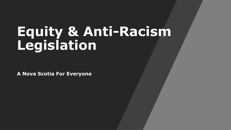# **Equity & Anti-Racism Legislation**

**A Nova Scotia For Everyone**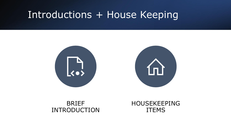### Introductions + House Keeping



#### BRIEF INTRODUCTION

HOUSEKEEPING ITEMS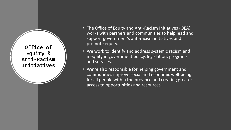**Office of Equity & Anti-Racism Initiatives**

- The Office of Equity and Anti-Racism Initiatives (OEA) works with partners and communities to help lead and support government's anti-racism initiatives and promote equity.
- We work to identify and address systemic racism and inequity in government policy, legislation, programs and services.
- We're also responsible for helping government and communities improve social and economic well-being for all people within the province and creating greater access to opportunities and resources.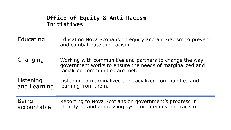#### **Office of Equity & Anti-Racism Initiatives**

- Educating Educating Nova Scotians on equity and anti-racism to prevent and combat hate and racism.
- Changing Working with communities and partners to change the way government works to ensure the needs of marginalized and racialized communities are met.

Listening and Learning Listening to marginalized and racialized communities and learning from them.

Being accountable Reporting to Nova Scotians on government's progress in identifying and addressing systemic inequity and racism.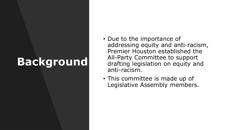# **Background**

- Due to the importance of addressing equity and anti-racism, Premier Houston established the All-Party Committee to support drafting legislation on equity and anti-racism.
- This committee is made up of Legislative Assembly members.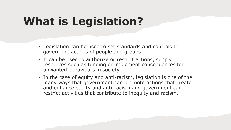# **What is Legislation?**

- Legislation can be used to set standards and controls to govern the actions of people and groups.
- It can be used to authorize or restrict actions, supply resources such as funding or implement consequences for unwanted behaviours in society.
- In the case of equity and anti-racism, legislation is one of the many ways that government can promote actions that create and enhance equity and anti-racism and government can restrict activities that contribute to inequity and racism.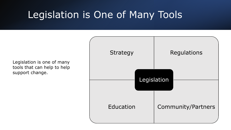### Legislation is One of Many Tools

Legislation is one of many tools that can help to help support change.

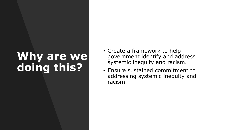# Why are we **doing this?**

- Create a framework to help government identify and address systemic inequity and racism.
- Ensure sustained commitment to addressing systemic inequity and racism.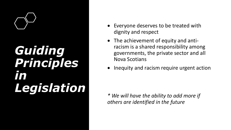

# *Guiding Principles in Legislation*

- Everyone deserves to be treated with dignity and respect
- The achievement of equity and antiracism is a shared responsibility among governments, the private sector and all Nova Scotians
- Inequity and racism require urgent action

*\* We will have the ability to add more if others are identified in the future*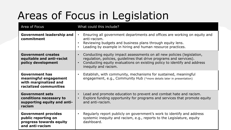# Areas of Focus in Legislation

| Area of Focus                                                                                     | What could this include?                                                                                                                                                                                                                                                    |
|---------------------------------------------------------------------------------------------------|-----------------------------------------------------------------------------------------------------------------------------------------------------------------------------------------------------------------------------------------------------------------------------|
| <b>Government leadership and</b><br>commitment                                                    | Ensuring all government departments and offices are working on equity and<br>$\bullet$<br>anti-racism.<br>Reviewing budgets and business plans through equity lens.<br>$\bullet$<br>Leading by example in hiring and human resource practices.<br>$\bullet$                 |
| <b>Government creates</b><br>equitable and anti-racist<br>policy development                      | Conducting equity impact assessments on all new policies (legislation,<br>$\bullet$<br>regulation, policies, guidelines that drive programs and services).<br>Conducting equity evaluations on existing policy to identify and address<br>$\bullet$<br>inequity and racism. |
| <b>Government has</b><br>meaningful engagement<br>with marginalized and<br>racialized communities | Establish, with community, mechanisms for sustained, meaningful<br>$\bullet$<br>engagement, e.g., Community Hub (*more details later in presentation)                                                                                                                       |
| <b>Government sets</b><br>conditions necessary to<br>supporting equity and anti-<br>racism        | Lead and promote education to prevent and combat hate and racism.<br>$\bullet$<br>Explore funding opportunity for programs and services that promote equity<br>$\bullet$<br>and anti-racism.                                                                                |
| <b>Government provides</b><br>public reporting on<br>progress towards equity<br>and anti-racism   | Regularly report publicly on government's work to identify and address<br>$\bullet$<br>systemic inequity and racism, e.g., reports to the Legislature, equity<br>dashboard.                                                                                                 |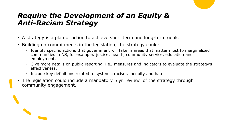### *Require the Development of an Equity & Anti-Racism Strategy*

- A strategy is a plan of action to achieve short term and long-term goals
- Building on commitments in the legislation, the strategy could:
	- Identify specific actions that government will take in areas that matter most to marginalized communities in NS, for example: justice, health, community service, education and employment.
	- Give more details on public reporting, i.e., measures and indicators to evaluate the strategy's effectiveness.
	- Include key definitions related to systemic racism, inequity and hate
- The legislation could include a mandatory 5 yr. review of the strategy through community engagement.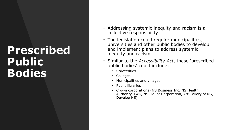### **Prescribed Public Bodies**

- Addressing systemic inequity and racism is a collective responsibility.
- The legislation could require municipalities, universities and other public bodies to develop and implement plans to address systemic inequity and racism.
- Similar to the *Accessibility Act*, these 'prescribed public bodies' could include:
	- Universities
	- Colleges
	- Municipalities and villages
	- Public libraries
	- Crown corporations (NS Business Inc, NS Health Authority, IWK, NS Liquor Corporation, Art Gallery of NS, Develop NS)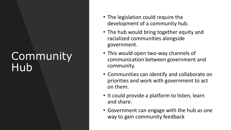## **Community** Hub

- The legislation could require the development of a community hub.
- The hub would bring together equity and racialized communities alongside government.
- This would open two-way channels of communication between government and community.
- Communities can identify and collaborate on priorities and work with government to act on them.
- It could provide a platform to listen, learn and share.
- Government can engage with the hub as one way to gain community feedback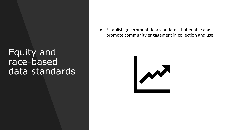### Equity and race-based data standards

• Establish government data standards that enable and promote community engagement in collection and use.

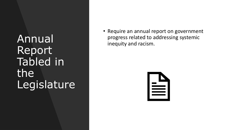Annual Report Tabled in the Legislature • Require an annual report on government progress related to addressing systemic inequity and racism.

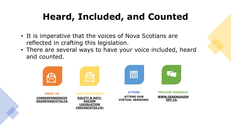### **Heard, Included, and Counted**

- It is imperative that the voices of Nova Scotians are reflected in crafting this legislation.
- There are several ways to have your voice included, heard and counted.